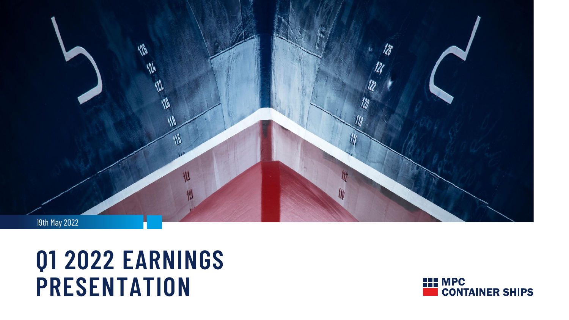# **Q1 2022 EARNINGS PRESENTATION**



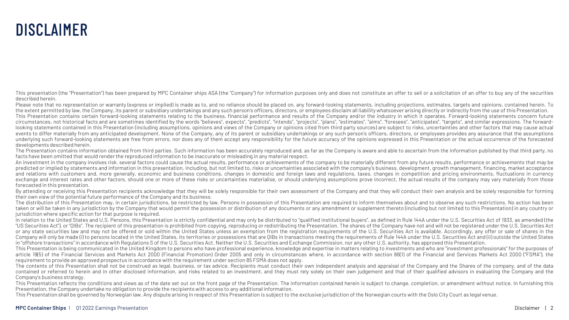### DISCLAIMER

This presentation (the "Presentation") has been prepared by MPC Container ships ASA (the "Company") for information purposes only and does not constitute an offer to sell or a solicitation of an offer to buy any of the sec described herein.

Please note that no representation or warranty (express or implied) is made as to, and no reliance should be placed on, any forward-looking statements, including projections, estimates, targets and opinions, contained here the extent permitted by law, the Company, its parent or subsidiary undertakings and any such person's officers, directors, or employees disclaim all liability whatsoever arising directly or indirectly from the use of this This Presentation contains certain forward-looking statements relating to the business, financial performance and results of the Company and/or the industry in which it operates. Forward-looking statements concern future circumstances, not historical facts and are sometimes identified by the words "believes", expects", "predicts", "intends", "projects", "plans", "estimates", "aims", "foresees", "anticipates", "targets", and similar express looking statements contained in this Presentation (including assumptions, opinions and views of the Company or opinions cited from third party sources) are subject to risks, uncertainties and other factors that may cause a events to differ materially from any anticipated development. None of the Company, any of its parent or subsidiary undertakings or any such person's officers, directors, or employees provides any assurance that the assumpt underlying such forward-looking statements are free from errors, nor does any of them accept any responsibility for the future accuracy of the opinions expressed in this Presentation or the actual occurrence of the forecas developments described herein.

The Presentation contains information obtained from third parties. Such information has been accurately reproduced and, as far as the Company is aware and able to ascertain from the information published by that third part facts have been omitted that would render the reproduced information to be inaccurate or misleading in any material respect.

An investment in the company involves risk, several factors could cause the actual results, performance or achievements of the company to be materially different from any future results, performance or achievements that ma predicted or implied by statements and information in this presentation, including, but not limited to, risks or uncertainties associated with the company's business, development, growth management, financing, market accep and relations with customers and, more generally, economic and business conditions, changes in domestic and foreign laws and regulations, taxes, changes in competition and pricing environments, fluctuations in currency exchange and interest rates and other factors, should one or more of these risks or uncertainties materialise, or should underlying assumptions prove incorrect, the actual results of the company may vary materially from th forecasted in this presentation.

By attending or receiving this Presentation recipients acknowledge that they will be solely responsible for their own assessment of the Company and that they will conduct their own analysis and be solely responsible for fo their own view of the potential future performance of the Company and its business.

The distribution of this Presentation may, in certain jurisdictions, be restricted by law. Persons in possession of this Presentation are required to inform themselves about and to observe any such restrictions. No action taken or will be taken in any jurisdiction by the Company that would permit the possession or distribution of any documents or any amendment or supplement thereto (including but not limited to this Presentation) in any cou jurisdiction where specific action for that purpose is required.

In relation to the United States and U.S. Persons, this Presentation is strictly confidential and may only be distributed to "qualified institutional buyers", as defined in Rule 144A under the U.S. Securities Act of 1933, "US Securities Act"), or "QIBs". The recipient of this presentation is prohibited from copying, reproducing or redistributing the Presentation. The shares of the Company have not and will not be registered under the U.S. S or any state securities law and may not be offered or sold within the United States unless an exemption from the registration requirements of the U.S. Securities Act is available. Accordingly, any offer or sale of shares i Company will only be made (i) to persons located in the United States, its territories or possessions that are OIBs in transactions meeting the requirements of Rule 144A under the U.S. Securities Act and (ii) outside the U in "offshore transactions" in accordance with Regulations S of the U.S. Securities Act. Neither the U.S. Securities and Exchange Commission, nor any other U.S. authority, has approved this Presentation.

This Presentation is being communicated in the United Kingdom to persons who have professional experience, knowledge and expertise in matters relating to investments and who are "investment professionals" for the purposes article 19(5) of the Financial Services and Markets Act 2000 (Financial Promotion) Order 2005 and only in circumstances where, in accordance with section 86(1) of the Financial and Services Markets Act 2000 ("FSMA"), the requirement to provide an approved prospectus in accordance with the requirement under section 85 FSMA does not apply.

The contents of this Presentation shall not be construed as legal, business, or tax advice. Recipients must conduct their own independent analysis and appraisal of the Company and the Shares of the company, and of the data contained or referred to herein and in other disclosed information, and risks related to an investment, and they must rely solely on their own judgement and that of their qualified advisors in evaluating the Company and the Company's business strategy.

This Presentation reflects the conditions and views as of the date set out on the front page of the Presentation. The information contained herein is subject to change, completion, or amendment without notice. In furnishin Presentation, the Company undertake no obligation to provide the recipients with access to any additional information.

This Presentation shall be governed by Norwegian law. Any dispute arising in respect of this Presentation is subject to the exclusive jurisdiction of the Norwegian courts with the Oslo City Court as legal venue.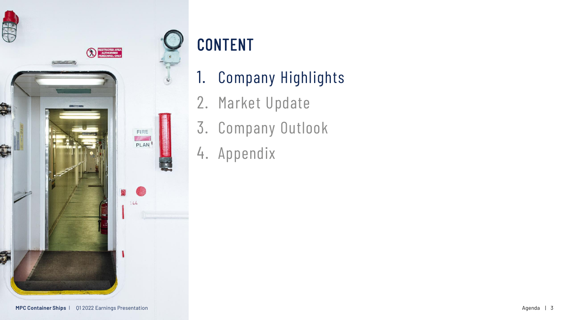

# CONTENT

- 1. Company Highlights
- 2. Market Update
- 3. Company Outlook
- 4. Appendix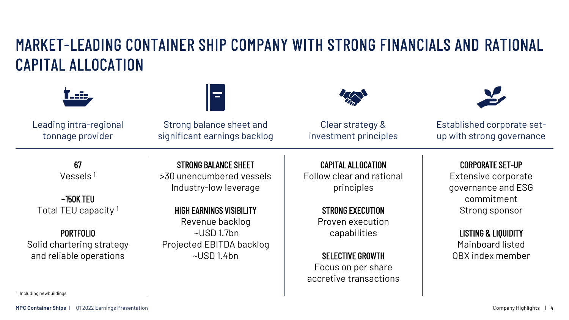## MARKET-LEADING CONTAINER SHIP COMPANY WITH STRONG FINANCIALS AND RATIONAL CAPITAL ALLOCATION





Leading intra-regional tonnage provider

Strong balance sheet and significant earnings backlog

Clear strategy & investment principles Established corporate setup with strong governance

67 Vessels <sup>1</sup>

~150K TEU Total TEU capacity<sup>1</sup>

PORTFOLIO Solid chartering strategy and reliable operations

STRONG BALANCE SHEET >30 unencumbered vessels Industry-low leverage

HIGH EARNINGS VISIBILITY Revenue backlog ~USD 1.7bn Projected EBITDA backlog ~USD 1.4bn

CAPITAL ALLOCATION Follow clear and rational principles

> STRONG EXECUTION Proven execution capabilities

SELECTIVE GROWTH Focus on per share accretive transactions CORPORATE SET-UP

Extensive corporate governance and ESG commitment Strong sponsor

LISTING & LIQUIDITY Mainboard listed OBX index member

<sup>1</sup> Including newbuildings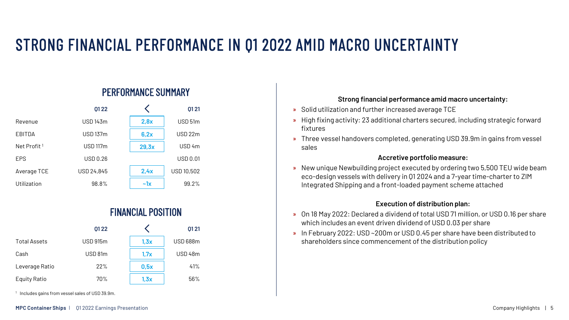## STRONG FINANCIAL PERFORMANCE IN Q1 2022 AMID MACRO UNCERTAINTY

|                         | 0122            |       | 0121               |
|-------------------------|-----------------|-------|--------------------|
| Revenue                 | <b>USD143m</b>  | 2,8x  | USD 51m            |
| EBITDA                  | <b>USD137m</b>  | 6,2x  | USD <sub>22m</sub> |
| Net Profit <sup>1</sup> | <b>USD 117m</b> | 29,3x | USD <sub>4m</sub>  |
| <b>FPS</b>              | <b>USD 0.26</b> |       | <b>USD 0.01</b>    |
| Average TCE             | USD 24,845      | 2,4x  | <b>USD 10,502</b>  |
| Utilization             | 98.8%           | $-1x$ | 99.2%              |

### FINANCIAL POSITION

PERFORMANCE SUMMARY

|                     | 0122            |      | 0121            |
|---------------------|-----------------|------|-----------------|
| <b>Total Assets</b> | <b>USD 915m</b> | 1,3x | <b>USD 688m</b> |
| Cash                | USD 81m         | 1,7x | USD 48m         |
| Leverage Ratio      | 22%             | 0,5x | 41%             |
| <b>Equity Ratio</b> | 70%             | 1,3x | 56%             |

#### **Strong financial performance amid macro uncertainty:**

- » Solid utilization and further increased average TCE
- » High fixing activity: 23 additional charters secured, including strategic forward fixtures
- » Three vessel handovers completed, generating USD 39.9m in gains from vessel sales

#### **Accretive portfolio measure:**

» New unique Newbuilding project executed by ordering two 5,500 TEU wide beam eco-design vessels with delivery in Q1 2024 and a 7-year time-charter to ZIM Integrated Shipping and a front-loaded payment scheme attached

#### **Execution of distribution plan:**

- » On 18 May 2022: Declared a dividend of total USD 71 million, or USD 0.16 per share which includes an event driven dividend of USD 0.03 per share
- » In February 2022: USD ~200m or USD 0.45 per share have been distributed to shareholders since commencement of the distribution policy

1 Includes gains from vessel sales of USD 39.9m.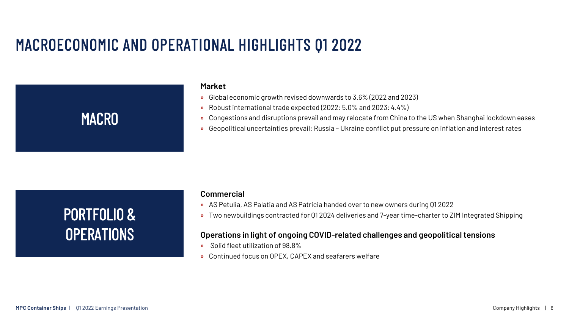### MACROECONOMIC AND OPERATIONAL HIGHLIGHTS Q1 2022



#### **Market**

- » Global economic growth revised downwards to 3.6% (2022 and 2023)
- » Robust international trade expected (2022: 5.0% and 2023: 4.4%)
- » Congestions and disruptions prevail and may relocate from China to the US when Shanghai lockdown eases
- » Geopolitical uncertainties prevail: Russia Ukraine conflict put pressure on inflation and interest rates

## PORTFOLIO & OPERATIONS

#### **Commercial**

- » AS Petulia, AS Palatia and AS Patricia handed over to new owners during Q1 2022
- » Two newbuildings contracted for Q1 2024 deliveries and 7-year time-charter to ZIM Integrated Shipping

#### **Operations in light of ongoing COVID-related challenges and geopolitical tensions**

- » Solid fleet utilization of 98.8%
- » Continued focus on OPEX, CAPEX and seafarers welfare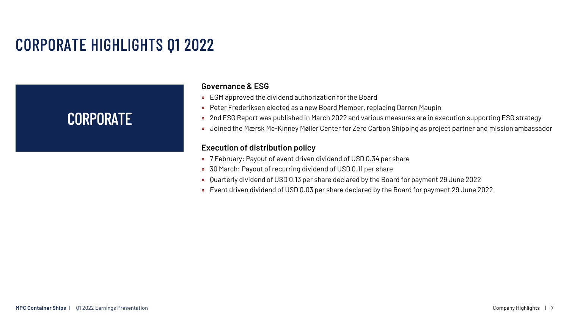## CORPORATE HIGHLIGHTS Q1 2022

## CORPORATE

#### **Governance & ESG**

- » EGM approved the dividend authorization for the Board
- » Peter Frederiksen elected as a new Board Member, replacing Darren Maupin
- » 2nd ESG Report was published in March 2022 and various measures are in execution supporting ESG strategy
- » Joined the Mærsk Mc-Kinney Møller Center for Zero Carbon Shipping as project partner and mission ambassador

#### **Execution of distribution policy**

- » 7 February: Payout of event driven dividend of USD 0.34 per share
- » 30 March: Payout of recurring dividend of USD 0.11 per share
- » Quarterly dividend of USD 0.13 per share declared by the Board for payment 29 June 2022
- » Event driven dividend of USD 0.03 per share declared by the Board for payment 29 June 2022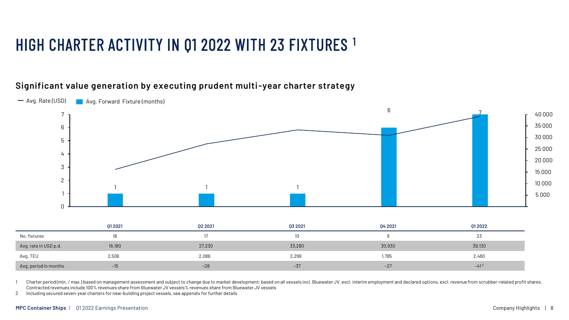## HIGH CHARTER ACTIVITY IN 01 2022 WITH 23 FIXTURES 1

#### **Significant value generation by executing prudent multi -year charter strategy**



| Charter period (min. / max.) based on management assessment and subject to change due to market development; based on all vessels incl. Bluewater JV, excl. interim employment and declared options, excl. revenue from scrubb |
|--------------------------------------------------------------------------------------------------------------------------------------------------------------------------------------------------------------------------------|
| Contracted revenues include 100% revenues share from Bluewater JV vessels% revenues share from Bluewater JV vessels                                                                                                            |

Avg. TEU 2,506 2,086 2,299 1,785 2,480 Avg. period in months  $~\sim$  15  $~\sim$  10  $~\sim$  28  $~\sim$  27  $~\sim$  27  $~\sim$  27  $~\sim$  41  $^2$ 

Including secured seven-year charters for new-building project vessels, see appendix for further details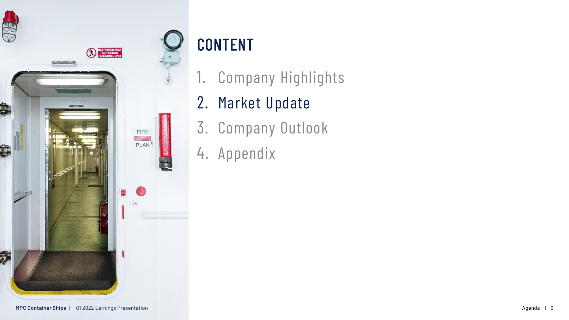

# CONTENT

- 1. Company Highlights
- 2. Market Update
- 3. Company Outlook
- 4. Appendix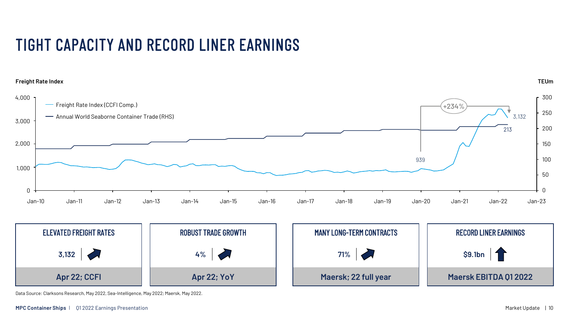## TIGHT CAPACITY AND RECORD LINER EARNINGS

#### **Freight Rate Index**





Data Source: Clarksons Research, May 2022, Sea-Intelligence, May 2022; Maersk, May 2022.

**TEUm**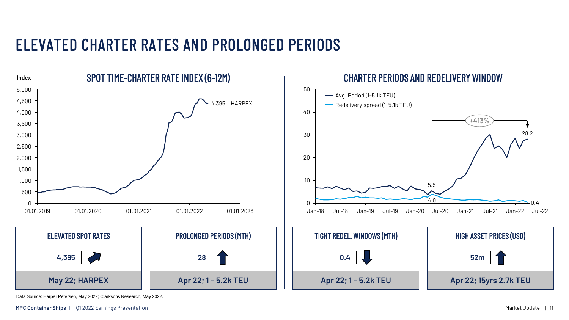## ELEVATED CHARTER RATES AND PROLONGED PERIODS



Data Source: Harper Petersen, May 2022; Clarksons Research, May 2022*.*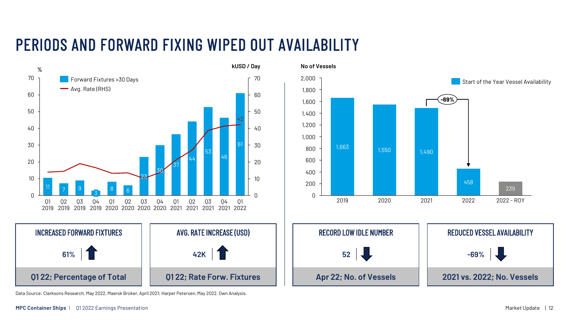## PERIODS AND FORWARD FIXING WIPED OUT AVAILABILITY





**No of Vessels**

Data Source: Clarksons Research, May 2022, Maersk Broker, April 2021; Harper Petersen, May 2022. Own Analysis.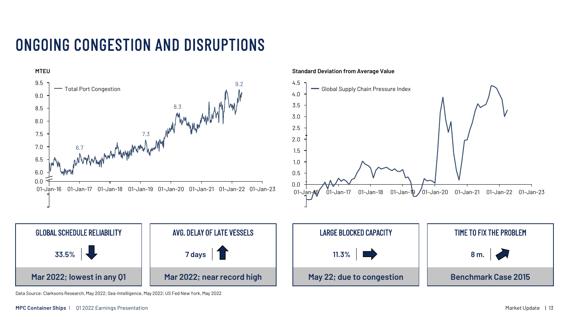## ONGOING CONGESTION AND DISRUPTIONS



Data Source: Clarksons Research, May 2022; Sea-Intelligence, May 2022; US Fed New York, May 2022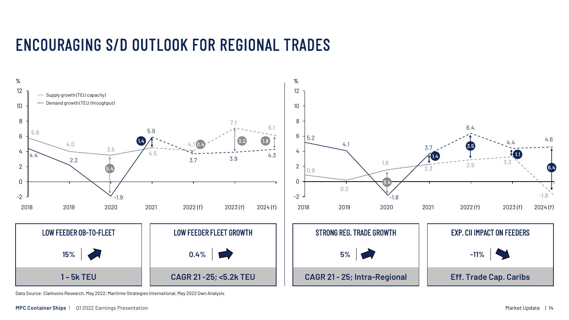## ENCOURAGING S/D OUTLOOK FOR REGIONAL TRADES



Data Source: Clarksons Research, May 2022; Maritime Strategies International, May 2022 Own Analysis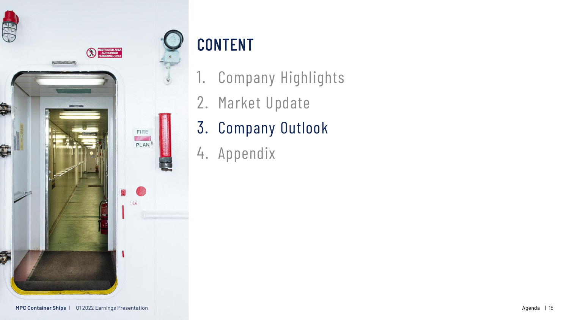

# CONTENT

- 1. Company Highlights
- 2. Market Update
- 3. Company Outlook
- 4. Appendix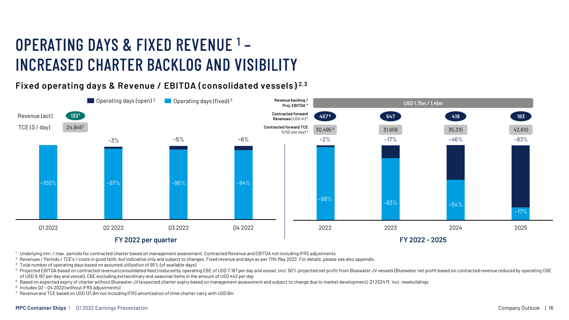## OPERATING DAYS & FIXED REVENUE<sup>1</sup>-INCREASED CHARTER BACKLOG AND VISIBILITY

### **Fixed operating days & Revenue / EBITDA (consolidated vessels) 2,3**



<sup>1</sup> Underlying min. / max. periods for contracted charter based on management assessment. Contracted Revenue and EBITDA not including IFRS adjustments

<sup>2</sup> Revenues / Periods / TCE's / costs in good faith, but indicative only and subject to changes. Fixed revenue and days as per 17th May 2022. For details, please see also appendix

<sup>3</sup> Total number of operating days based on assumed utilization of 95% (of available days)

4 Projected EBITDA based on contracted revenue (consolidated fleet) reduced by operating CBE of USD 7,167 per day and vessel, incl. 50% projected net profit from Bluewater JV vessels (Bluewater net profit based on contract of USD 9,187 per day and vessel). CBE excluding extraordinary and seasonal items in the amount of USD 442 per day

<sup>5</sup> Based on expected expiry of charter without Bluewater JV (expected charter expiry based on management assessment and subject to change due to market development). Q1 2024 ff. incl. newbuildings

 $6$  Includes Q2 – Q4 2022 (without IFRS adjustments)

 $7\,$  Revenue and TCE based on USD 131.9m not including IFRS amortization of time charter carry with USD 8m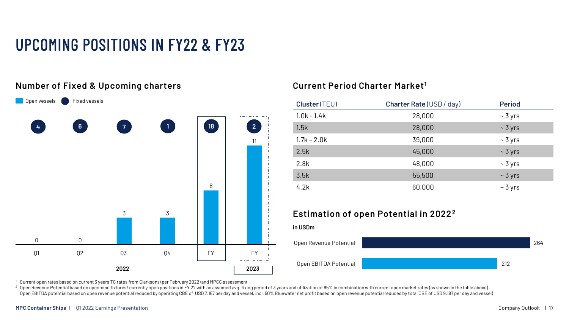## UPCOMING POSITIONS IN FY22 & FY23



#### **Number of Fixed & Upcoming charters**

#### **Current Period Charter Market<sup>1</sup>**

| Cluster (TEU) | <b>Charter Rate (USD / day)</b> | <b>Period</b> |
|---------------|---------------------------------|---------------|
| $1.0k - 1.4k$ | 28,000                          | $\sim$ 3 yrs  |
| 1.5k          | 28,000                          | $\sim$ 3 yrs  |
| $1.7k - 2.0k$ | 39,000                          | $\sim$ 3 yrs  |
| 2.5k          | 45,000                          | $\sim$ 3 yrs  |
| 2.8k          | 48,000                          | $\sim$ 3 yrs  |
| 3.5k          | 55,500                          | $\sim$ 3 yrs  |
| 4.2k          | 60,000                          | $\sim$ 3 yrs  |

#### **Estimation of open Potential in 2022<sup>2</sup>**

#### **in USDm**



<sup>1</sup> Current open rates based on current 3 years TC rates from Clarksons (per February 2022) and MPCC assessment

<sup>2</sup> Open Revenue Potential based on upcoming fixtures/ currently open positions in FY 22 with an assumed avg. fixing period of 3 years and utilization of 95% in combination with current open market rates (as shown in the t Open EBITDA potential based on open revenue potential reduced by operating CBE of USD 7.167 per day and vessel, incl. 50% Bluewater net profit based on open revenue potential reduced by total CBE of USD 9,187 per day and v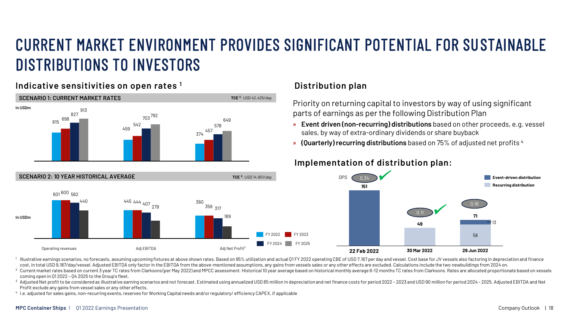## CURRENT MARKET ENVIRONMENT PROVIDES SIGNIFICANT POTENTIAL FOR SUSTAINABLE DISTRIBUTIONS TO INVESTORS

#### **Indicative sensitivities on open rates <sup>1</sup>**



#### **Distribution plan**

Priority on returning capital to investors by way of using significant parts of earnings as per the following Distribution Plan

- » **Event driven (non-recurring) distributions** based on other proceeds, e.g. vessel sales, by way of extra-ordinary dividends or share buyback
- » **(Quarterly) recurring distributions** based on 75% of adjusted net profits <sup>4</sup>

#### **Implementation of distribution plan:**



I lllustrative earnings scenarios, no forecasts, assuming upcoming fixtures at above shown rates. Based on 95% utilization and actual Q1 FY 2022 operating CBE of USD 7.167 per day and vessel. Cost base for JV vessels also cost, in total USD 9,187/day/vessel. Adjusted EBITDA only factor in the EBITDA from the above-mentioned assumptions, any gains from vessels sales or any other effects are excluded. Calculations include the two newbuildings

<sup>2</sup> Current market rates based on current 3 year TC rates from Clarksons (per May 2022) and MPCC assessment. Historical 10 year average based on historical monthly average 6-12 months TC rates from Clarksons. Rates are all coming open in Q1 2022 – Q4 2025 to the Group's fleet.

3 Adjusted Net profit to be considered as illustrative earning scenarios and not forecast. Estimated using annualized USD 85 million in depreciation and net finance costs for period 2022 - 2023 and USD 90 million for perio Profit exclude any gains from vessel sales or any other effects.

4 I.e. adjusted for sales gains, non-recurring events, reserves for Working Capital needs and/or regulatory/ efficiency CAPEX, if applicable

#### **MPC Container Ships** | | Q1 2022 Earnings Presentation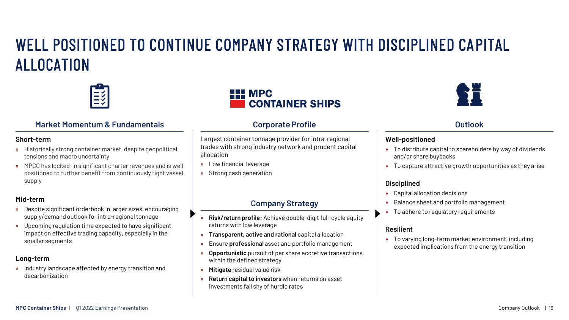## WELL POSITIONED TO CONTINUE COMPANY STRATEGY WITH DISCIPLINED CAPITAL ALLOCATION



#### **Market Momentum & Fundamentals Corporate Profile Outlook**

#### **Short-term**

- » Historically strong container market, despite geopolitical tensions and macro uncertainty
- » MPCC has locked-in significant charter revenues and is well positioned to further benefit from continuously tight vessel supply

#### **Mid-term**

- » Despite significant orderbook in larger sizes, encouraging supply/demand outlook for intra-regional tonnage
- » Upcoming regulation time expected to have significant impact on effective trading capacity, especially in the smaller segments

#### **Long-term**

» Industry landscape affected by energy transition and decarbonization



Largest container tonnage provider for intra-regional trades with strong industry network and prudent capital allocation

- » Low financial leverage
- » Strong cash generation

#### **Company Strategy**

- » **Risk/return profile:** Achieve double-digit full-cycle equity returns with low leverage
- » **Transparent, active and rational** capital allocation
- » Ensure **professional** asset and portfolio management
- » **Opportunistic** pursuit of per share accretive transactions within the defined strategy
- » **Mitigate** residual value risk
- » **Return capital to investors** when returns on asset investments fall shy of hurdle rates



#### **Well-positioned**

- » To distribute capital to shareholders by way of dividends and/or share buybacks
- » To capture attractive growth opportunities as they arise

#### **Disciplined**

- » Capital allocation decisions
- » Balance sheet and portfolio management
- » To adhere to regulatory requirements

#### **Resilient**

» To varying long-term market environment, including expected implications from the energy transition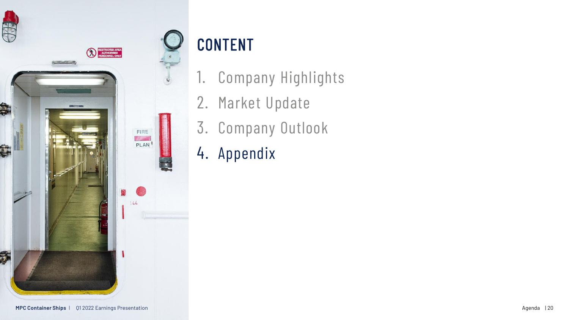

# CONTENT

- 1. Company Highlights
- 2. Market Update
- 3. Company Outlook
- 4. Appendix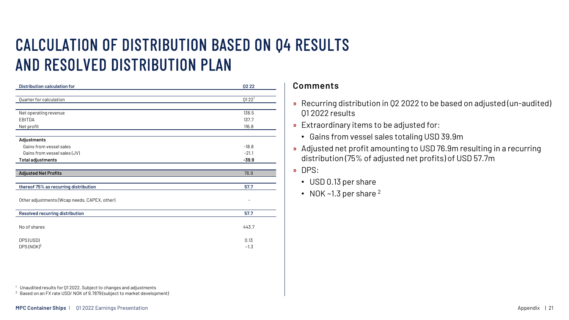## CALCULATION OF DISTRIBUTION BASED ON Q4 RESULTS AND RESOLVED DISTRIBUTION PLAN

| <b>Distribution calculation for</b>          | 02 22    |
|----------------------------------------------|----------|
|                                              |          |
| Quarter for calculation                      | $0122^1$ |
|                                              |          |
| Net operating revenue                        | 136.5    |
| EBITDA                                       | 137.7    |
| Net profit                                   | 116.8    |
|                                              |          |
| <b>Adjustments</b>                           |          |
| Gains from yessel sales                      | $-18.8$  |
| Gains from vessel sales (JV)                 | $-21.1$  |
| <b>Total adjustments</b>                     | $-39.9$  |
|                                              |          |
| <b>Adjusted Net Profits</b>                  | 76.9     |
|                                              |          |
| thereof 75% as recurring distribution        | 57.7     |
| Other adjustments (Wcap needs, CAPEX, other) |          |
| Resolved recurring distribution              | 57.7     |
| No of shares                                 | 443.7    |
| DPS(USD)                                     | 0.13     |
| $DFS(NOK)^2$                                 | ~1.3     |

#### **Comments**

- » Recurring distribution in Q2 2022 to be based on adjusted (un-audited) Q1 2022 results
- » Extraordinary items to be adjusted for:
	- Gains from vessel sales totaling USD 39.9m
- » Adjusted net profit amounting to USD 76.9m resulting in a recurring distribution (75% of adjusted net profits) of USD 57.7m
- » DPS:
	- USD 0.13 per share
	- NOK  $\sim$  1.3 per share  $^2$

<sup>1</sup> Unaudited results for Q1 2022. Subject to changes and adjustments

<sup>2</sup> Based on an FX rate USD/NOK of 9.7879 (subject to market development)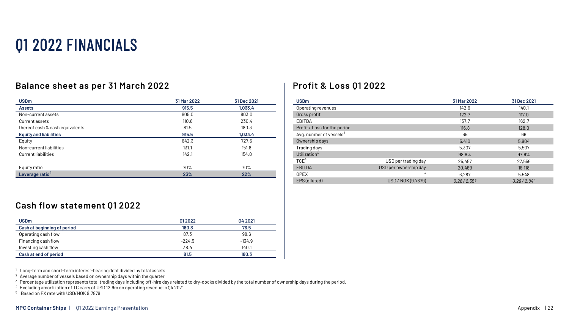## Q1 2022 FINANCIALS

#### **Balance sheet as per 31 March 2022 Profit & Loss Q1 2022**

| <b>USD<sub>m</sub></b>          | 31 Mar 2022 | 31 Dec 2021 |
|---------------------------------|-------------|-------------|
| <b>Assets</b>                   | 915.5       | 1,033.4     |
| Non-current assets              | 805.0       | 803.0       |
| Current assets                  | 110.6       | 230.4       |
| thereof cash & cash equivalents | 81.5        | 180.3       |
| <b>Equity and liabilities</b>   | 915.5       | 1,033.4     |
| Equity                          | 642.3       | 727.6       |
| Non-current liabilities         | 131.1       | 151.8       |
| Current liabilities             | 142.1       | 154.0       |
| Equity ratio                    | 70%         | 70%         |
| Leverage ratio <sup>1</sup>     | 23%         | 22%         |

| <b>USD<sub>m</sub></b>              |                       | 31 Mar 2022            | 31 Dec 2021            |
|-------------------------------------|-----------------------|------------------------|------------------------|
| Operating revenues                  |                       | 142.9                  | 140.1                  |
| Gross profit                        |                       | 122.7                  | 117.0                  |
| EBITDA                              |                       | 137.7                  | 162.7                  |
| Profit / Loss for the period        |                       | 116.8                  | 128.0                  |
| Avg. number of vessels <sup>2</sup> |                       | 65                     | 66                     |
| Ownership days                      |                       | 5,410                  | 5,904                  |
| Trading days                        |                       | 5,307                  | 5,507                  |
| Utilization <sup>3</sup>            |                       | 98.8%                  | 97.6%                  |
| TCE <sup>4</sup>                    | USD per trading day   | 25,457                 | 27,556                 |
| <b>EBITDA</b>                       | USD per ownership day | 20,469                 | 16,118                 |
| <b>OPEX</b>                         | $\overline{u}$        | 6,287                  | 5,548                  |
| EPS (diluted)                       | USD / NOK (9.7879)    | 0.26/2.55 <sup>5</sup> | 0.29/2.84 <sup>5</sup> |

#### **Cash flow statement Q1 2022**

| <b>USD<sub>m</sub></b>      | 01 20 22 | 04 2021  |
|-----------------------------|----------|----------|
| Cash at beginning of period | 180.3    | 76.5     |
| Operating cash flow         | 87.3     | 98.6     |
| Financing cash flow         | $-224.5$ | $-134.9$ |
| Investing cash flow         | 38.4     | 140.1    |
| Cash at end of period       | 81.5     | 180.3    |

<sup>1</sup> Long-term and short-term interest-bearing debt divided by total assets

<sup>2</sup> Average number of vessels based on ownership days within the quarter

 $3$  Percentage utilization represents total trading days including off-hire days related to dry-docks divided by the total number of ownership days during the period.

<sup>4</sup> Excluding amortization of TC carry of USD 12.9m on operating revenue in Q4 2021

<sup>5</sup> Based on FX rate with USD/NOK 9.7879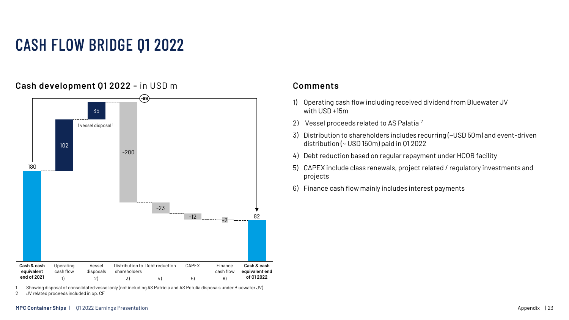## CASH FLOW BRIDGE Q1 2022



Showing disposal of consolidated vessel only (not including AS Patricia and AS Petulia disposals under Bluewater JV)

2 JV related proceeds included in op. CF

#### **Cash development Q1 2022 -** in USD m

#### **Comments**

- 1) Operating cash flow including received dividend from Bluewater JV with USD +15m
- 2) Vessel proceeds related to AS Palatia<sup>2</sup>
- 3) Distribution to shareholders includes recurring (~USD 50m) and event-driven distribution (~ USD 150m) paid in Q1 2022
- 4) Debt reduction based on regular repayment under HCOB facility
- 5) CAPEX include class renewals, project related / regulatory investments and projects
- 6) Finance cash flow mainly includes interest payments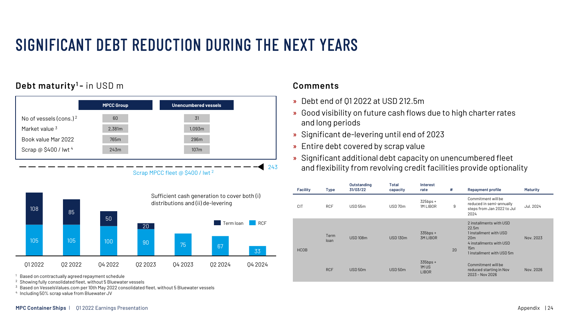## SIGNIFICANT DEBT REDUCTION DURING THE NEXT YEARS

### **Debt maturity<sup>1</sup>-** in USD m





<sup>1</sup> Based on contractually agreed repayment schedule

<sup>2</sup> Showing fully consolidated fleet, without 5 Bluewater vessels

 $3$  Based on Vessels Values.com per 10th May 2022 consolidated fleet, without 5 Bluewater vessels

4 Including 50% scrap value from Bluewater JV

#### **Comments**

- » Debt end of Q1 2022 at USD 212.5m
- » Good visibility on future cash flows due to high charter rates and long periods
- » Significant de-levering until end of 2023
- » Entire debt covered by scrap value
- » Significant additional debt capacity on unencumbered fleet and flexibility from revolving credit facilities provide optionality

| <b>Facility</b> | <b>Type</b>  | Outstanding<br>31/03/22 | Total<br>capacity | <b>Interest</b><br>rate                   | #  | <b>Repayment profile</b>                                                                                                                                 | Maturity  |
|-----------------|--------------|-------------------------|-------------------|-------------------------------------------|----|----------------------------------------------------------------------------------------------------------------------------------------------------------|-----------|
| <b>CIT</b>      | <b>RCF</b>   | $USD$ 55 $m$            | USD 70m           | $325bps +$<br>1M LIBOR                    | 9  | Commitment will be<br>reduced in semi-annually<br>steps from Jan 2022 to Jul<br>2024                                                                     | Jul. 2024 |
| <b>HCOB</b>     | Term<br>loan | <b>USD 108m</b>         | <b>USD 130m</b>   | $335bps +$<br><b>3M LIBOR</b>             | 20 | 2 installments with USD<br>22.5m<br>1 installment with USD<br>20 <sub>m</sub><br>4 installments with USD<br>15 <sub>m</sub><br>1 installment with USD 5m | Nov. 2023 |
|                 | <b>RCF</b>   | $USD$ 50 $m$            | $USD$ 50 $m$      | $335bps +$<br><b>1MUS</b><br><b>LIBOR</b> |    | Commitment will be<br>reduced starting in Nov<br>2023 - Nov 2026                                                                                         | Nov. 2026 |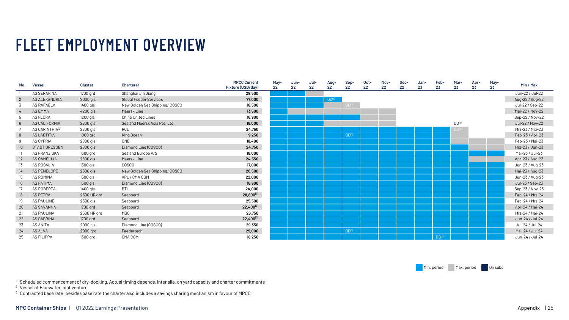## FLEET EMPLOYMENT OVERVIEW

| No.            | <b>Vessel</b>               | <b>Cluster</b> | Charterer                      | <b>MPCC Current</b><br>Fixture (USD/day) | May-<br>22 | Jun-<br>22 | Jul-<br>22 | Aug-<br>22        | Sep-<br>22        | Oct-<br>22 | Nov-<br>22 | Dec-<br>22 | Jan-<br>23 | Feb-<br>23       | Mar-<br>23        | Apr-<br>23 | May-<br>23 | Min / Max       |
|----------------|-----------------------------|----------------|--------------------------------|------------------------------------------|------------|------------|------------|-------------------|-------------------|------------|------------|------------|------------|------------------|-------------------|------------|------------|-----------------|
|                | <b>AS SERAFINA</b>          | 1700 grd       | Shanghai Jin Jiang             | 29,500                                   |            |            |            |                   |                   |            |            |            |            |                  |                   |            |            | Jun-22 / Jul-22 |
|                | AS ALEXANDRIA               | 2000 gls       | <b>Global Feeder Services</b>  | 77,000                                   |            |            |            | DD <sup>(1)</sup> |                   |            |            |            |            |                  |                   |            |            | Aug-22 / Aug-22 |
|                | <b>AS RAFAELA</b>           | 1400 gls       | New Golden Sea Shipping/ COSCO | 18,500                                   |            |            |            |                   | $\Box$            |            |            |            |            |                  |                   |            |            | Jul-22 / Sep-22 |
|                | AS EMMA                     | 4200 gls       | Maersk Line                    | 13,500                                   |            |            |            |                   |                   |            |            |            |            |                  |                   |            |            | Mai-22 / Nov-22 |
|                | <b>AS FLORA</b>             | 1200 gls       | <b>China United Lines</b>      | 16,900                                   |            |            |            |                   |                   |            |            |            |            |                  |                   |            |            | Sep-22 / Nov-22 |
| - 6            | AS CALIFORNIA               | 2800 gls       | Sealand Maersk Asia Pte. Ltd.  | 18,000                                   |            |            |            |                   |                   |            |            |            |            |                  | DD <sup>(1)</sup> |            |            | Jul-22 / Nov-22 |
|                | AS CARINTHIA <sup>(2)</sup> | 2800 gls       | RCL                            | 24,750                                   |            |            |            |                   |                   |            |            |            |            |                  |                   |            |            | Mrz-23 / Mrz-23 |
| -8             | AS LAETITIA                 | 1000 grd       | King Ocean                     | 9,250                                    |            |            |            |                   | DD <sup>(1)</sup> |            |            |            |            |                  |                   |            |            | Feb-23 / Apr-23 |
|                | <b>AS CYPRIA</b>            | 2800 gls       | ONE                            | 18,400                                   |            |            |            |                   |                   |            |            |            |            |                  |                   |            |            | Feb-23 / Mai-23 |
| 1 <sup>C</sup> | <b>STADT DRESDEN</b>        | 2800 gls       | Diamond Line (COSCO)           | 24,750                                   |            |            |            |                   |                   |            |            |            |            |                  |                   |            |            | Mrz-23 / Jun-23 |
|                | AS FRANZISKA                | 1300 grd       | Sealand Europe A/S             | 18,000                                   |            |            |            |                   |                   |            |            |            |            |                  |                   |            |            | Mai-23 / Jul-23 |
| 12             | AS CAMELLIA                 | 2800 gls       | Maersk Line                    | 24,550                                   |            |            |            |                   |                   |            |            |            |            |                  |                   |            |            | Apr-23 / Aug-23 |
| 13             | AS ROSALIA                  | 1500 gls       | <b>COSCO</b>                   | 17,000                                   |            |            |            |                   |                   |            |            |            |            |                  |                   |            |            | Jun-23 / Aug-23 |
| 14             | AS PENELOPE                 | 2500 gls       | New Golden Sea Shipping/ COSCO | 26,500                                   |            |            |            |                   |                   |            |            |            |            |                  |                   |            |            | Mai-23 / Aug-23 |
|                | AS ROMINA                   | 1500 gls       | APL / CMA CGM                  | 22,000                                   |            |            |            |                   |                   |            |            |            |            |                  |                   |            |            | Jun-23 / Aug-23 |
| 16             | <b>AS FATIMA</b>            | 1300 gls       | Diamond Line (COSCO)           | 18,900                                   |            |            |            |                   |                   |            |            |            |            |                  |                   |            |            | Jul-23 / Sep-23 |
|                | AS ROBERTA                  | 1400 gls       | <b>BTL</b>                     | 24,000                                   |            |            |            |                   |                   |            |            |            |            |                  |                   |            |            | Sep-23 / Nov-23 |
| 18             | <b>AS PETRA</b>             | 2500 HR grd    | Seaboard                       | $28,800^{(3)}$                           |            |            |            |                   |                   |            |            |            |            |                  |                   |            |            | Feb-24 / Mrz-24 |
| 19             | AS PAULINE                  | 2500 gls       | Seaboard                       | 25,500                                   |            |            |            |                   |                   |            |            |            |            |                  |                   |            |            | Feb-24 / Mrz-24 |
| 20             | AS SAVANNA                  | 1700 grd       | Seaboard                       | $22,400^{(3)}$                           |            |            |            |                   |                   |            |            |            |            |                  |                   |            |            | Apr-24 / Mai-24 |
| 21             | AS PAULINA                  | 2500 HR grd    | <b>MSC</b>                     | 26,750                                   |            |            |            |                   |                   |            |            |            |            |                  |                   |            |            | Mrz-24 / Mai-24 |
| 22             | AS SABRINA                  | 1700 grd       | Seaboard                       | $22,400^{(3)}$                           |            |            |            |                   |                   |            |            |            |            |                  |                   |            |            | Jun-24 / Jul-24 |
| 23             | AS ANITA                    | 2000 gls       | Diamond Line (COSCO)           | 29,350                                   |            |            |            |                   |                   |            |            |            |            |                  |                   |            |            | Jul-24 / Jul-24 |
| 24             | AS ALVA                     | 2000 grd       | Feedertech                     | 29,000                                   |            |            |            |                   | DD <sup>(1)</sup> |            |            |            |            |                  |                   |            |            | Mai-24 / Jul-24 |
| 25             | <b>AS FILIPPA</b>           | 1300 grd       | CMA CGM                        | 18,250                                   |            |            |            |                   |                   |            |            |            |            | D <sup>(1)</sup> |                   |            |            | Jun-24 / Jul-24 |



 $^{\rm 1} \,$  Scheduled commencement of dry-docking. Actual timing depends, inter alia, on yard capacity and charter commitments

<sup>2</sup> Vessel of Bluewater joint venture

Contracted base rate; besides base rate the charter also includes a savings sharing mechanism in favour of MPCC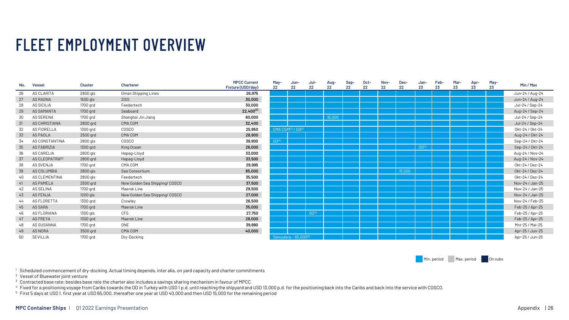## FLEET EMPLOYMENT OVERVIEW

| No. | <b>Vessel</b>               | <b>Cluster</b> | <b>Charterer</b>               | <b>MPCC Current</b><br>Fixture (USD/day) | May-<br>22        | Jun-<br>22           | Jul-<br>22        | Aug-<br>22 | Sep-<br>22 | Oct-<br>22 | Nov-<br>22 | Dec-<br>22 | Jan-<br>23        | Feb-<br>23 | Mar-<br>23 | Apr-<br>23 | May-<br>23 | Min / Max       |
|-----|-----------------------------|----------------|--------------------------------|------------------------------------------|-------------------|----------------------|-------------------|------------|------------|------------|------------|------------|-------------------|------------|------------|------------|------------|-----------------|
| 26  | <b>AS CLARITA</b>           | 2800 gls       | Oman Shipping Lines            | 26,975                                   |                   |                      |                   |            |            |            |            |            |                   |            |            |            |            | Jun-24 / Aug-24 |
| 27  | AS RAGNA                    | 1500 gls       | <b>ZISS</b>                    | 30,000                                   |                   |                      |                   |            |            |            |            |            |                   |            |            |            |            | Jun-24 / Aug-24 |
| 28  | AS SICILIA                  | 1700 grd       | Feedertech                     | 30,000                                   |                   |                      |                   |            |            |            |            |            |                   |            |            |            |            | Jul-24 / Sep-24 |
| 29  | AS SAMANTA                  | 1700 grd       | Seaboard                       | $22,400^{(3)}$                           |                   |                      |                   |            |            |            |            |            |                   |            |            |            |            | Aug-24 / Sep-24 |
| 30  | AS SERENA                   | 1700 grd       | Shanghai Jin Jiang             | 60,000                                   |                   |                      |                   | 15,000     |            |            |            |            |                   |            |            |            |            | Jul-24 / Sep-24 |
| 31  | AS CHRISTIANA               | 2800 grd       | CMA CGM                        | 32,400                                   |                   |                      |                   |            |            |            |            |            |                   |            |            |            |            | Jul-24 / Sep-24 |
| 32  | AS FIORELLA                 | 1300 grd       | <b>COSCO</b>                   | 25,950                                   |                   | CMA CGM(4) / DD(1)   |                   |            |            |            |            |            |                   |            |            |            |            | Okt-24 / Okt-24 |
| 33  | AS PAOLA                    | 2500 grd       | CMA CGM                        | 28,900                                   |                   |                      |                   |            |            |            |            |            |                   |            |            |            |            | Aug-24 / Okt-24 |
| -34 | AS CONSTANTINA              | 2800 gls       | <b>COSCO</b>                   | 39,900                                   | DD <sup>(1)</sup> |                      |                   |            |            |            |            |            |                   |            |            |            |            | Sep-24 / Okt-24 |
| 35  | <b>AS FABRIZIA</b>          | 1300 grd       | King Ocean                     | 26,000                                   |                   |                      |                   |            |            |            |            |            | DD <sup>(1)</sup> |            |            |            |            | Sep-24 / Okt-24 |
| 36  | <b>AS CARELIA</b>           | 2800 gls       | Hapag-Lloyd                    | 33,000                                   |                   |                      |                   |            |            |            |            |            |                   |            |            |            |            | Aug-24 / Nov-24 |
| 37  | AS CLEOPATRA <sup>(2)</sup> | 2800 grd       | Hapag-Lloyd                    | 33,500                                   |                   |                      |                   |            |            |            |            |            |                   |            |            |            |            | Aug-24 / Nov-24 |
| 38  | AS SVENJA                   | 1700 grd       | CMA CGM                        | 29,995                                   |                   |                      |                   |            |            |            |            |            |                   |            |            |            |            | Okt-24 / Dez-24 |
| 39  | AS COLUMBIA                 | 2800 gls       | Sea Consortium                 | 85,000                                   |                   |                      |                   |            |            |            |            | 15,500     |                   |            |            |            |            | Okt-24 / Dez-24 |
| 40  | AS CLEMENTINA               | 2800 gls       | Feedertech                     | 35,500                                   |                   |                      |                   |            |            |            |            |            |                   |            |            |            |            | Okt-24 / Dez-24 |
| 41  | AS PAMELA                   | 2500 grd       | New Golden Sea Shipping/ COSCO | 37,500                                   |                   |                      |                   |            |            |            |            |            |                   |            |            |            |            | Nov-24 / Jan-25 |
| 42  | AS SELINA                   | 1700 grd       | Maersk Line                    | 29,500                                   |                   |                      |                   |            |            |            |            |            |                   |            |            |            |            | Nov-24 / Jan-25 |
| 43  | <b>AS FENJA</b>             | 1200 gls       | New Golden Sea Shipping/ COSCO | 27,000                                   |                   |                      |                   |            |            |            |            |            |                   |            |            |            |            | Nov-24 / Jan-25 |
| 44  | AS FLORETTA                 | 1300 grd       | Crowlev                        | 26,500                                   |                   |                      |                   |            |            |            |            |            |                   |            |            |            |            | Nov-24 / Feb-25 |
| 45  | AS SARA                     | 1700 grd       | Maersk Line                    | 35,000                                   |                   |                      |                   |            |            |            |            |            |                   |            |            |            |            | Feb-25 / Apr-25 |
| 46  | AS FLORIANA                 | 1300 gls       | <b>CFS</b>                     | 27,750                                   |                   |                      | DD <sup>(1)</sup> |            |            |            |            |            |                   |            |            |            |            | Feb-25 / Apr-25 |
| 47  | <b>AS FREYA</b>             | 1300 grd       | Maersk Line                    | 28,000                                   |                   |                      |                   |            |            |            |            |            |                   |            |            |            |            | Feb-25 / Apr-25 |
| 48  | AS SUSANNA                  | 1700 grd       | <b>ONE</b>                     | 39,990                                   |                   |                      |                   |            |            |            |            |            |                   |            |            |            |            | Mrz-25 / Mai-25 |
| 49  | AS NORA                     | 3500 grd       | CMA CGM                        | 40,000                                   |                   |                      |                   |            |            |            |            |            |                   |            |            |            |            | Apr-25 / Jun-25 |
| 50  | SEVILLIA                    | 1700 grd       | Dry-Docking                    |                                          |                   | Samudera - 65,000(5) |                   |            |            |            |            |            |                   |            |            |            |            | Apr-25 / Jun-25 |

Min. period Max. period On subs

Scheduled commencement of dry-docking. Actual timing depends, inter alia, on yard capacity and charter commitments

<sup>2</sup> Vessel of Bluewater joint venture

 $^{\rm 3} \,$  Contracted base rate; besides base rate the charter also includes a savings sharing mechanism in favour of MPCC

Fixed for a positioning voyage from Caribs towards the DD in Turkey with USD 1 p.d. until reaching the shipyard and USD 13,000 p.d. for the positioning back into the Caribs and back into the service with COSCO.

First 5 days at USD 1, first year at USD 65,000, thereafter one year at USD 40,000 and then USD 15,000 for the remaining period